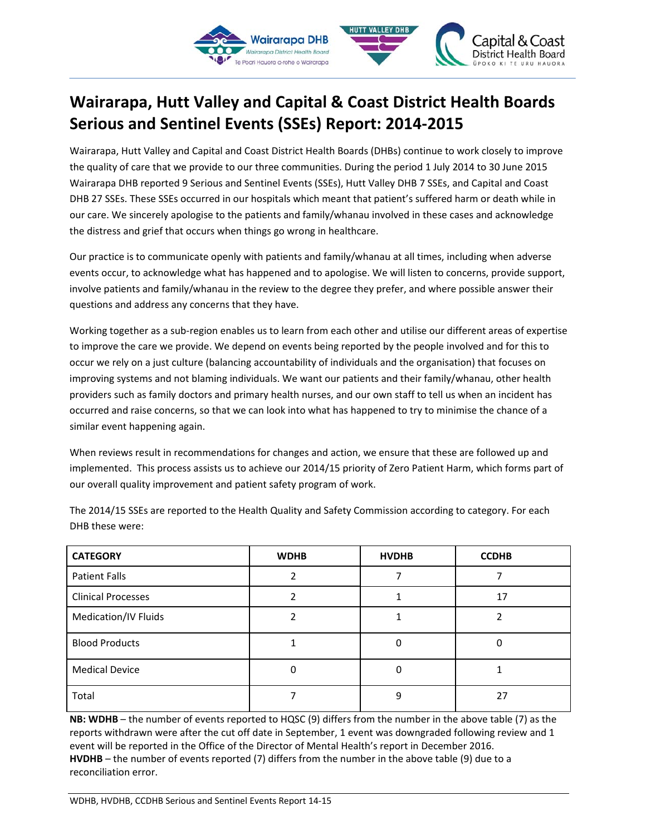

# **Wairarapa, Hutt Valley and Capital & Coast District Health Boards Serious and Sentinel Events (SSEs) Report: 2014-2015**

Wairarapa, Hutt Valley and Capital and Coast District Health Boards (DHBs) continue to work closely to improve the quality of care that we provide to our three communities. During the period 1 July 2014 to 30 June 2015 Wairarapa DHB reported 9 Serious and Sentinel Events (SSEs), Hutt Valley DHB 7 SSEs, and Capital and Coast DHB 27 SSEs. These SSEs occurred in our hospitals which meant that patient's suffered harm or death while in our care. We sincerely apologise to the patients and family/whanau involved in these cases and acknowledge the distress and grief that occurs when things go wrong in healthcare.

Our practice is to communicate openly with patients and family/whanau at all times, including when adverse events occur, to acknowledge what has happened and to apologise. We will listen to concerns, provide support, involve patients and family/whanau in the review to the degree they prefer, and where possible answer their questions and address any concerns that they have.

Working together as a sub-region enables us to learn from each other and utilise our different areas of expertise to improve the care we provide. We depend on events being reported by the people involved and for this to occur we rely on a just culture (balancing accountability of individuals and the organisation) that focuses on improving systems and not blaming individuals. We want our patients and their family/whanau, other health providers such as family doctors and primary health nurses, and our own staff to tell us when an incident has occurred and raise concerns, so that we can look into what has happened to try to minimise the chance of a similar event happening again.

When reviews result in recommendations for changes and action, we ensure that these are followed up and implemented. This process assists us to achieve our 2014/15 priority of Zero Patient Harm, which forms part of our overall quality improvement and patient safety program of work.

| <b>CATEGORY</b>           | <b>WDHB</b> | <b>HVDHB</b> | <b>CCDHB</b> |
|---------------------------|-------------|--------------|--------------|
| Patient Falls             |             |              |              |
| <b>Clinical Processes</b> |             |              | 17           |
| Medication/IV Fluids      |             |              |              |
| <b>Blood Products</b>     |             |              |              |
| <b>Medical Device</b>     |             |              |              |
| Total                     |             |              | 27           |

The 2014/15 SSEs are reported to the Health Quality and Safety Commission according to category. For each DHB these were:

**NB: WDHB** – the number of events reported to HQSC (9) differs from the number in the above table (7) as the reports withdrawn were after the cut off date in September, 1 event was downgraded following review and 1 event will be reported in the Office of the Director of Mental Health's report in December 2016. **HVDHB** – the number of events reported (7) differs from the number in the above table (9) due to a reconciliation error.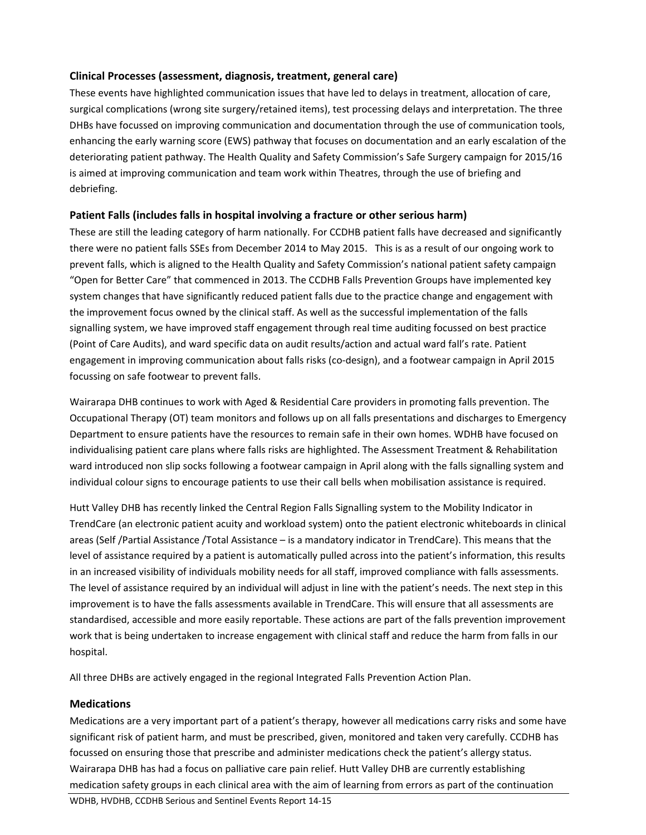## **Clinical Processes (assessment, diagnosis, treatment, general care)**

These events have highlighted communication issues that have led to delays in treatment, allocation of care, surgical complications (wrong site surgery/retained items), test processing delays and interpretation. The three DHBs have focussed on improving communication and documentation through the use of communication tools, enhancing the early warning score (EWS) pathway that focuses on documentation and an early escalation of the deteriorating patient pathway. The Health Quality and Safety Commission's Safe Surgery campaign for 2015/16 is aimed at improving communication and team work within Theatres, through the use of briefing and debriefing.

## **Patient Falls (includes falls in hospital involving a fracture or other serious harm)**

These are still the leading category of harm nationally. For CCDHB patient falls have decreased and significantly there were no patient falls SSEs from December 2014 to May 2015. This is as a result of our ongoing work to prevent falls, which is aligned to the Health Quality and Safety Commission's national patient safety campaign "Open for Better Care" that commenced in 2013. The CCDHB Falls Prevention Groups have implemented key system changes that have significantly reduced patient falls due to the practice change and engagement with the improvement focus owned by the clinical staff. As well as the successful implementation of the falls signalling system, we have improved staff engagement through real time auditing focussed on best practice (Point of Care Audits), and ward specific data on audit results/action and actual ward fall's rate. Patient engagement in improving communication about falls risks (co-design), and a footwear campaign in April 2015 focussing on safe footwear to prevent falls.

Wairarapa DHB continues to work with Aged & Residential Care providers in promoting falls prevention. The Occupational Therapy (OT) team monitors and follows up on all falls presentations and discharges to Emergency Department to ensure patients have the resources to remain safe in their own homes. WDHB have focused on individualising patient care plans where falls risks are highlighted. The Assessment Treatment & Rehabilitation ward introduced non slip socks following a footwear campaign in April along with the falls signalling system and individual colour signs to encourage patients to use their call bells when mobilisation assistance is required.

Hutt Valley DHB has recently linked the Central Region Falls Signalling system to the Mobility Indicator in TrendCare (an electronic patient acuity and workload system) onto the patient electronic whiteboards in clinical areas (Self /Partial Assistance /Total Assistance – is a mandatory indicator in TrendCare). This means that the level of assistance required by a patient is automatically pulled across into the patient's information, this results in an increased visibility of individuals mobility needs for all staff, improved compliance with falls assessments. The level of assistance required by an individual will adjust in line with the patient's needs. The next step in this improvement is to have the falls assessments available in TrendCare. This will ensure that all assessments are standardised, accessible and more easily reportable. These actions are part of the falls prevention improvement work that is being undertaken to increase engagement with clinical staff and reduce the harm from falls in our hospital.

All three DHBs are actively engaged in the regional Integrated Falls Prevention Action Plan.

## **Medications**

Medications are a very important part of a patient's therapy, however all medications carry risks and some have significant risk of patient harm, and must be prescribed, given, monitored and taken very carefully. CCDHB has focussed on ensuring those that prescribe and administer medications check the patient's allergy status. Wairarapa DHB has had a focus on palliative care pain relief. Hutt Valley DHB are currently establishing medication safety groups in each clinical area with the aim of learning from errors as part of the continuation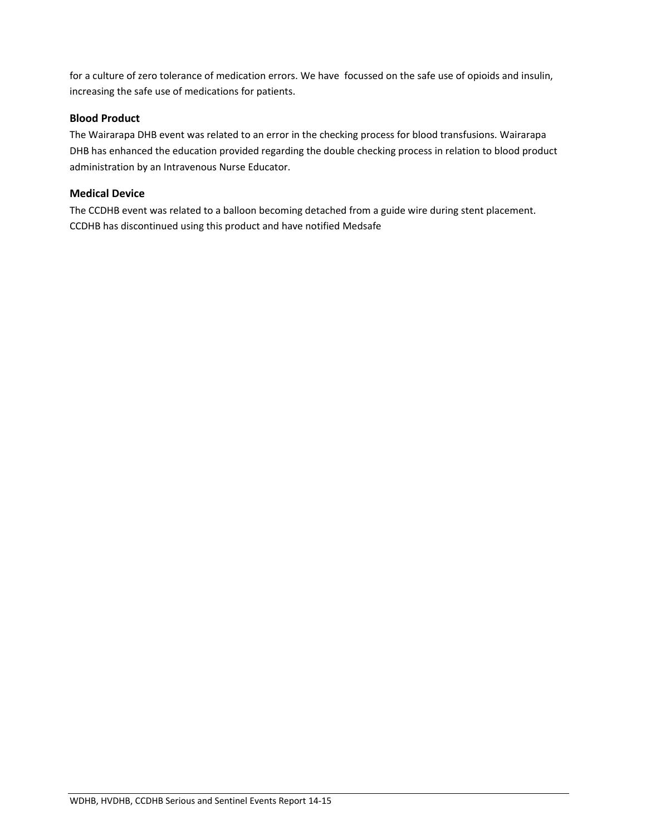for a culture of zero tolerance of medication errors. We have focussed on the safe use of opioids and insulin, increasing the safe use of medications for patients.

## **Blood Product**

The Wairarapa DHB event was related to an error in the checking process for blood transfusions. Wairarapa DHB has enhanced the education provided regarding the double checking process in relation to blood product administration by an Intravenous Nurse Educator.

## **Medical Device**

The CCDHB event was related to a balloon becoming detached from a guide wire during stent placement. CCDHB has discontinued using this product and have notified Medsafe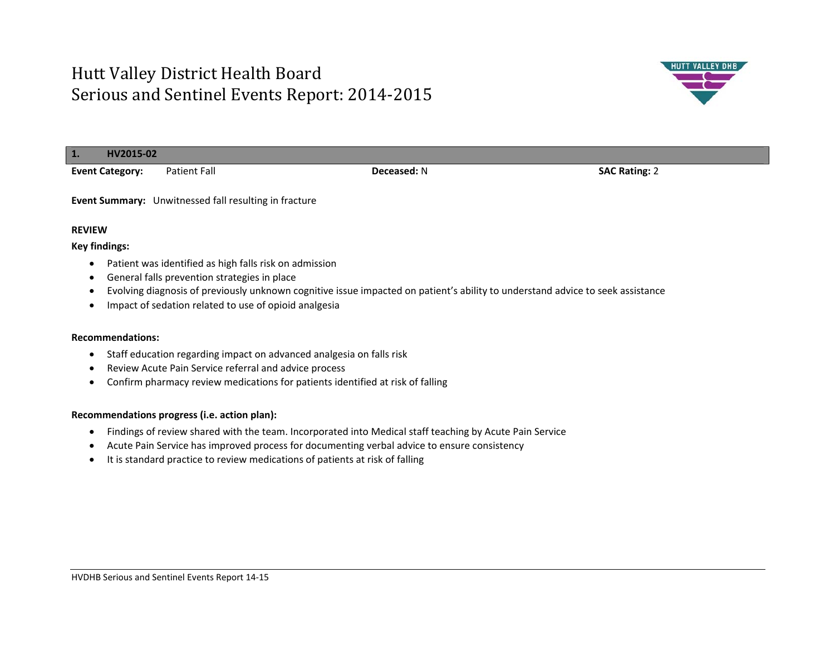

- $\bullet$ General falls prevention strategies in place
- $\bullet$ Evolving diagnosis of previously unknown cognitive issue impacted on patient's ability to understand advice to seek assistance
- Impact of sedation related to use of opioid analgesia

#### **Recommendations:**

- Staff education regarding impact on advanced analgesia on falls risk
- Review Acute Pain Service referral and advice process
- Confirm pharmacy review medications for patients identified at risk of falling

- Findings of review shared with the team. Incorporated into Medical staff teaching by Acute Pain Service
- Acute Pain Service has improved process for documenting verbal advice to ensure consistency
- It is standard practice to review medications of patients at risk of falling

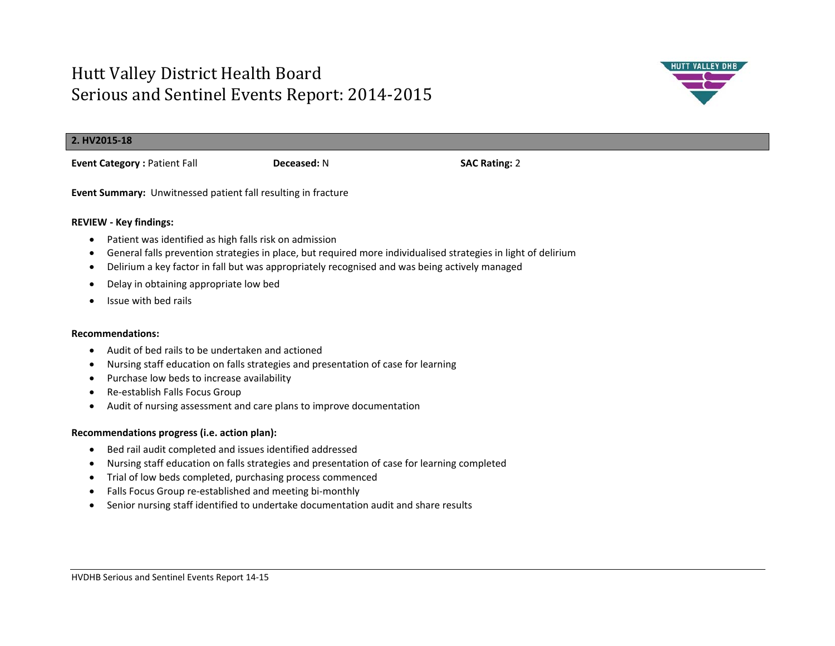

#### **2. HV2015-18**

**Event Category :** Patient Fall **Deceased:** N **SAC Rating:** 2

**Event Summary:** Unwitnessed patient fall resulting in fracture

## **REVIEW - Key findings:**

- Patient was identified as high falls risk on admission
- $\bullet$ General falls prevention strategies in place, but required more individualised strategies in light of delirium
- $\bullet$ Delirium a key factor in fall but was appropriately recognised and was being actively managed
- $\bullet$ Delay in obtaining appropriate low bed
- Issue with bed rails

### **Recommendations:**

- Audit of bed rails to be undertaken and actioned
- $\bullet$ Nursing staff education on falls strategies and presentation of case for learning
- Purchase low beds to increase availability
- Re-establish Falls Focus Group
- Audit of nursing assessment and care plans to improve documentation

- Bed rail audit completed and issues identified addressed
- Nursing staff education on falls strategies and presentation of case for learning completed
- Trial of low beds completed, purchasing process commenced
- Falls Focus Group re-established and meeting bi-monthly
- $\bullet$ Senior nursing staff identified to undertake documentation audit and share results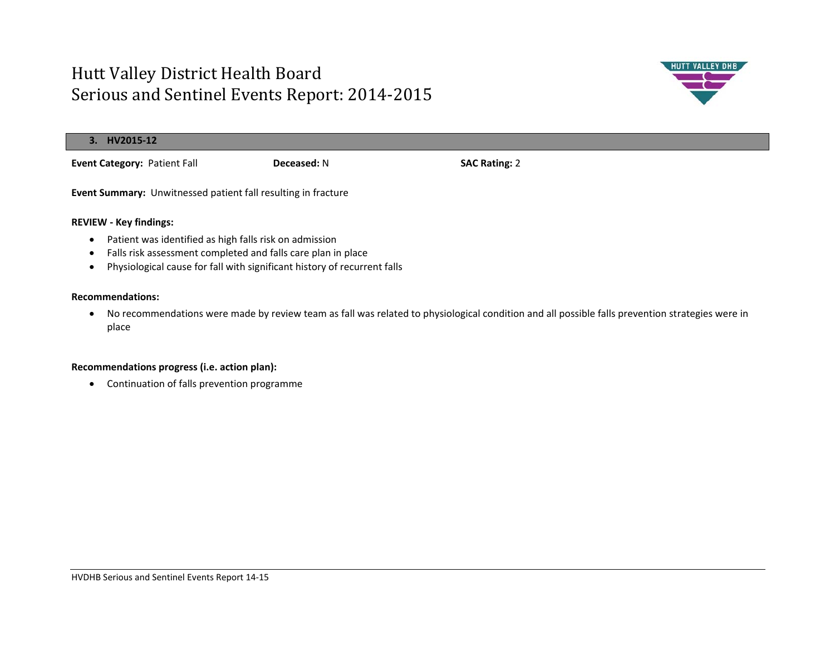

| 3. HV2015-12                                                         |                    |                      |
|----------------------------------------------------------------------|--------------------|----------------------|
| <b>Event Category: Patient Fall</b>                                  | <b>Deceased: N</b> | <b>SAC Rating: 2</b> |
| <b>Event Summary:</b> Unwitnessed patient fall resulting in fracture |                    |                      |

### **REVIEW - Key findings:**

- Patient was identified as high falls risk on admission
- Falls risk assessment completed and falls care plan in place
- Physiological cause for fall with significant history of recurrent falls

#### **Recommendations:**

 No recommendations were made by review team as fall was related to physiological condition and all possible falls prevention strategies were in place

### **Recommendations progress (i.e. action plan):**

Continuation of falls prevention programme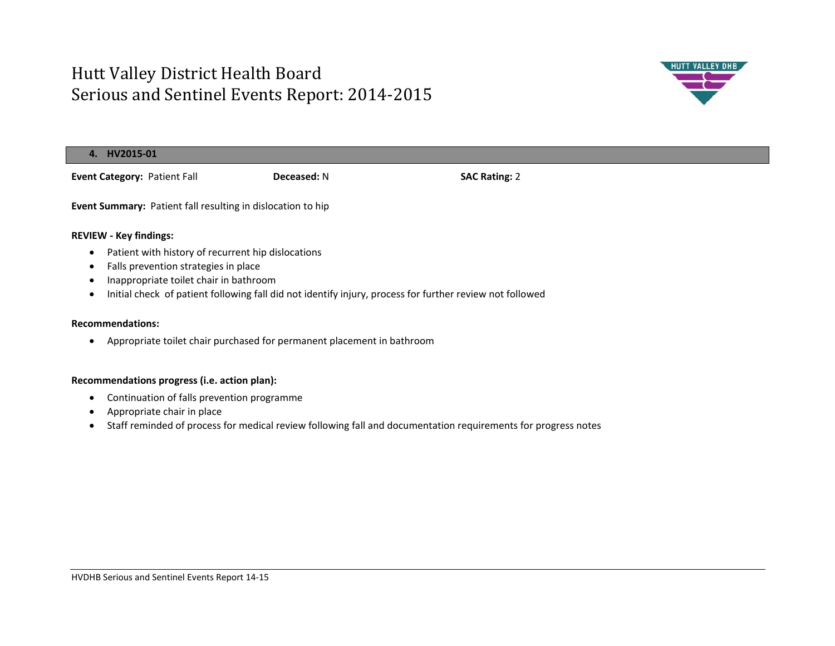

| HV2015-01<br>4.                                                                                                      |                    |                      |  |  |
|----------------------------------------------------------------------------------------------------------------------|--------------------|----------------------|--|--|
| Event Category: Patient Fall                                                                                         | <b>Deceased: N</b> | <b>SAC Rating: 2</b> |  |  |
| Event Summary: Patient fall resulting in dislocation to hip                                                          |                    |                      |  |  |
| <b>REVIEW - Key findings:</b>                                                                                        |                    |                      |  |  |
| Patient with history of recurrent hip dislocations<br>$\bullet$<br>Falls prevention strategies in place<br>$\bullet$ |                    |                      |  |  |

- $\bullet$ Inappropriate toilet chair in bathroom
- $\bullet$ Initial check of patient following fall did not identify injury, process for further review not followed

#### **Recommendations:**

Appropriate toilet chair purchased for permanent placement in bathroom

- Continuation of falls prevention programme
- Appropriate chair in place
- Staff reminded of process for medical review following fall and documentation requirements for progress notes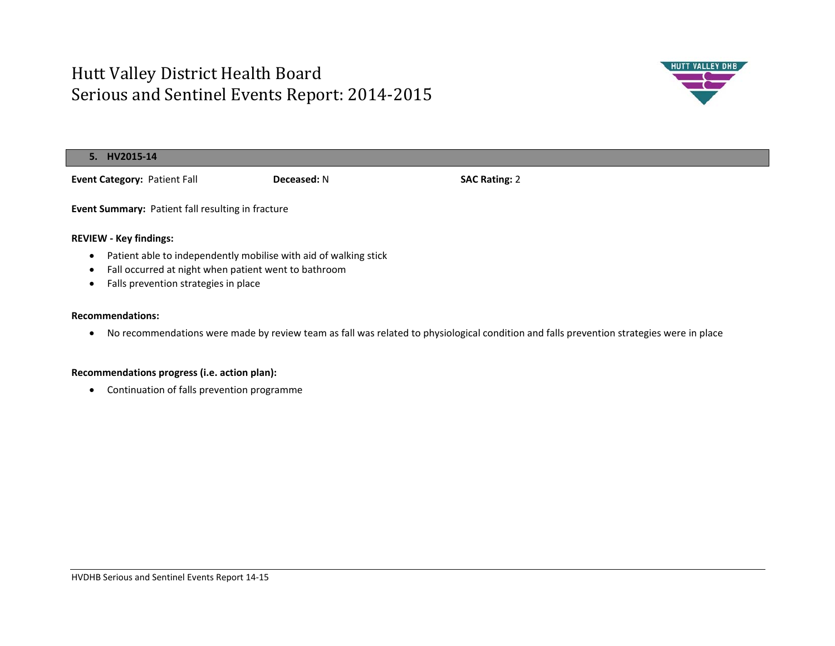

| 5. HV2015-14                                      |                    |                      |  |
|---------------------------------------------------|--------------------|----------------------|--|
| <b>Event Category: Patient Fall</b>               | <b>Deceased: N</b> | <b>SAC Rating: 2</b> |  |
| Event Summary: Patient fall resulting in fracture |                    |                      |  |
| <b>REVIEW - Key findings:</b>                     |                    |                      |  |

- $\bullet$ Patient able to independently mobilise with aid of walking stick
- $\bullet$ Fall occurred at night when patient went to bathroom
- Falls prevention strategies in place

#### **Recommendations:**

No recommendations were made by review team as fall was related to physiological condition and falls prevention strategies were in place

## **Recommendations progress (i.e. action plan):**

Continuation of falls prevention programme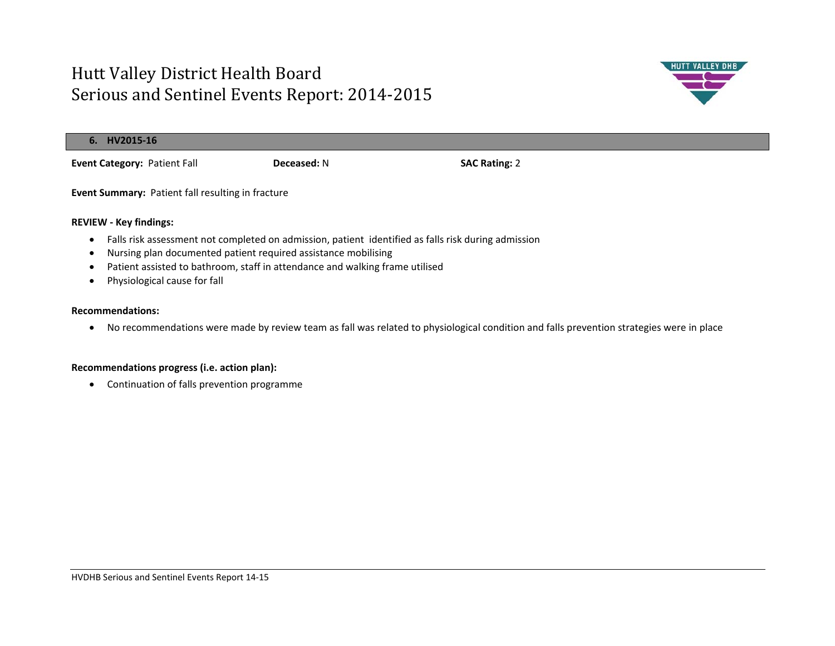

| . HV2015-16                                       |                    |                      |  |
|---------------------------------------------------|--------------------|----------------------|--|
| <b>Event Category: Patient Fall</b>               | <b>Deceased: N</b> | <b>SAC Rating: 2</b> |  |
| Event Summary: Patient fall resulting in fracture |                    |                      |  |

#### **REVIEW - Key findings:**

- Falls risk assessment not completed on admission, patient identified as falls risk during admission
- Nursing plan documented patient required assistance mobilising
- Patient assisted to bathroom, staff in attendance and walking frame utilised
- Physiological cause for fall

#### **Recommendations:**

No recommendations were made by review team as fall was related to physiological condition and falls prevention strategies were in place

### **Recommendations progress (i.e. action plan):**

Continuation of falls prevention programme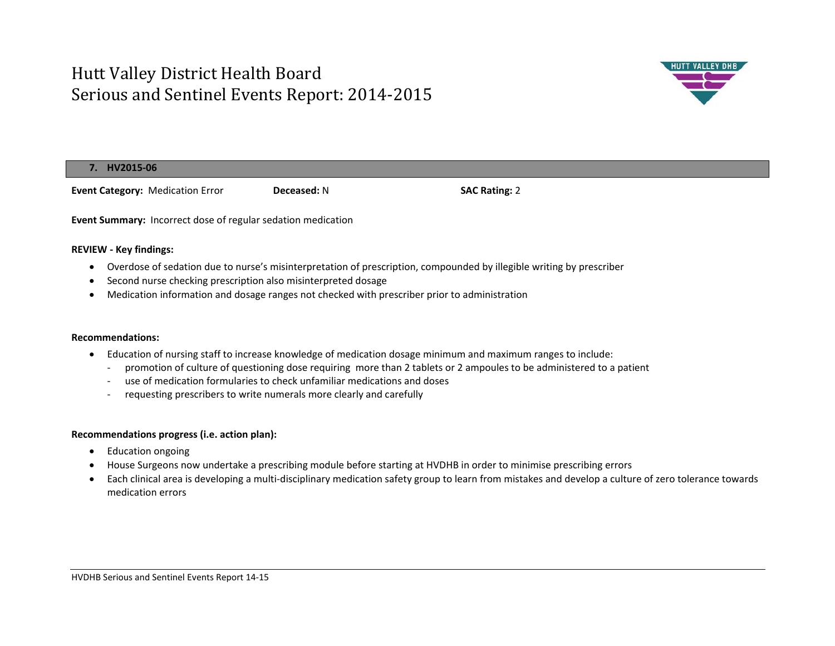

### **7. HV2015-06**

**Event Category:** Medication Error **Deceased:** N **SAC Rating:** 2

**Event Summary:** Incorrect dose of regular sedation medication

### **REVIEW - Key findings:**

- Overdose of sedation due to nurse's misinterpretation of prescription, compounded by illegible writing by prescriber
- $\bullet$ Second nurse checking prescription also misinterpreted dosage
- $\bullet$ Medication information and dosage ranges not checked with prescriber prior to administration

### **Recommendations:**

- Education of nursing staff to increase knowledge of medication dosage minimum and maximum ranges to include:
	- promotion of culture of questioning dose requiring more than 2 tablets or 2 ampoules to be administered to a patient
	- use of medication formularies to check unfamiliar medications and doses
	- requesting prescribers to write numerals more clearly and carefully

- Education ongoing
- House Surgeons now undertake a prescribing module before starting at HVDHB in order to minimise prescribing errors
- $\bullet$  Each clinical area is developing a multi-disciplinary medication safety group to learn from mistakes and develop a culture of zero tolerance towards medication errors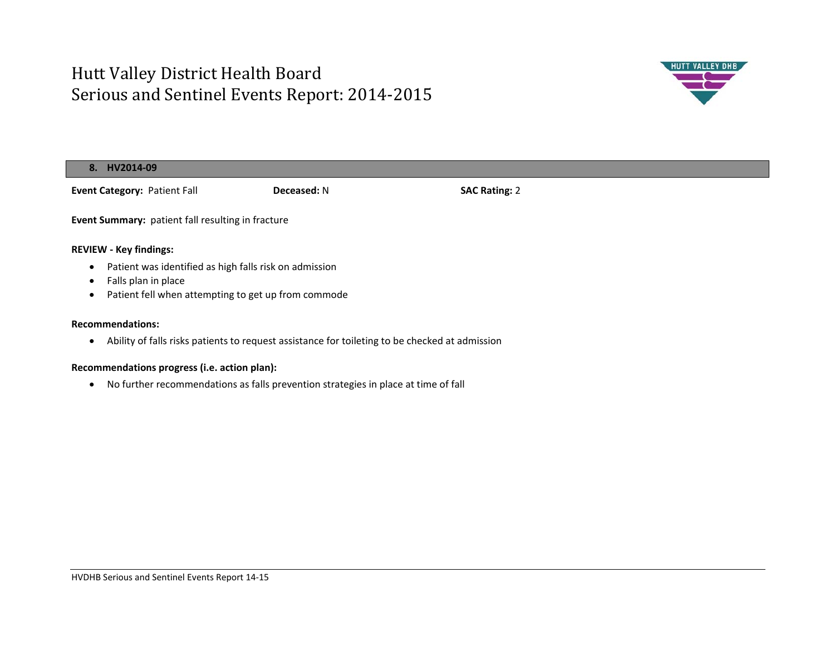

|                                              | 8. HV2014-09                                                                                   |                    |                      |  |  |
|----------------------------------------------|------------------------------------------------------------------------------------------------|--------------------|----------------------|--|--|
|                                              | Event Category: Patient Fall                                                                   | <b>Deceased: N</b> | <b>SAC Rating: 2</b> |  |  |
|                                              | Event Summary: patient fall resulting in fracture                                              |                    |                      |  |  |
|                                              | <b>REVIEW - Key findings:</b>                                                                  |                    |                      |  |  |
| ٠                                            | Patient was identified as high falls risk on admission                                         |                    |                      |  |  |
|                                              | Falls plan in place                                                                            |                    |                      |  |  |
| ٠                                            | Patient fell when attempting to get up from commode                                            |                    |                      |  |  |
| <b>Recommendations:</b>                      |                                                                                                |                    |                      |  |  |
| ٠                                            | Ability of falls risks patients to request assistance for toileting to be checked at admission |                    |                      |  |  |
| Recommendations progress (i.e. action plan): |                                                                                                |                    |                      |  |  |

No further recommendations as falls prevention strategies in place at time of fall